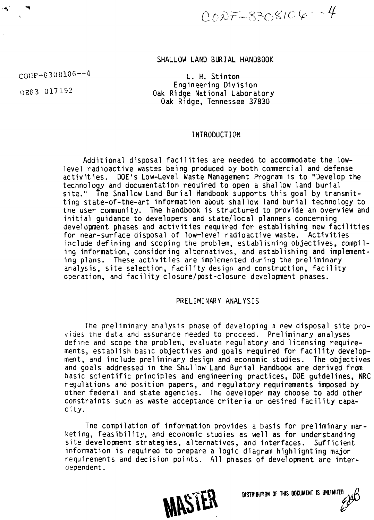$0007 - 8308106 - 4$ 

# SHALLOW LAND BURIAL HANDBOOK

COUF-8308106—4

L. H. Stinton Engineering Division DES3 017192 Oak Ridge National Laboratory Oak Ridge, Tennessee 37830

### INTRODUCTION

Additional disposal facilities are needed to accommodate the lowlevel radioactive wastes being produced by both commercial and defense activities . DOE's Low-Level Waste Management Program is to "Develop the technology and documentation required to open a shallow land burial site." The Snallow Land Burial Handbook supports this goal by transmitting state-of-the-art information about shallow land burial technology to the user community. The handbook is structured to provide an overview and initial quidance to developers and state/local planners concerning development phases and activities required for establishing new facilities for near-surface disposal of low-level radioactive waste. Activities include defining and scoping the problem, establishing objectives, compiling information, considering alternatives, and establishing and implementing plans. These activities are implemented during the preliminary analysis, site selection, facility design and construction, facility operation, and facility closure/post-closure development phases.

### PRELIMINARY ANALYSIS

The preliminary analysis phase of developing a new disposal site provides tne data and assurance needed to proceed. Preliminary analyses define and scope the problem, evaluate regulatory and licensing requirements, establish basic objectives and goals required for facility development, and include preliminary design and economic studies. The objectives and goals addressed in the Shullow Land Burial Handbook are derived from basic scientific principles and engineering practices, DOE quidelines, NRC regulations and position papers, and regulatory requirements imposed by other federal and state agencies. The developer may choose to add other constraints sucn as waste acceptance criteria or desired facility capacity.

Tne compilation of information provides a basis for preliminary marketing, feasibility, and economic studies as well as for understanding site development strategies, alternatives, and interfaces. Sufficient information is required to prepare a logic diagram highlighting major requirements and decision points. All phases of development are interdependent.



DISTRI<del>bution</del> of this document is unlimited<br>  $\mathcal{L}(\mathbf{X})$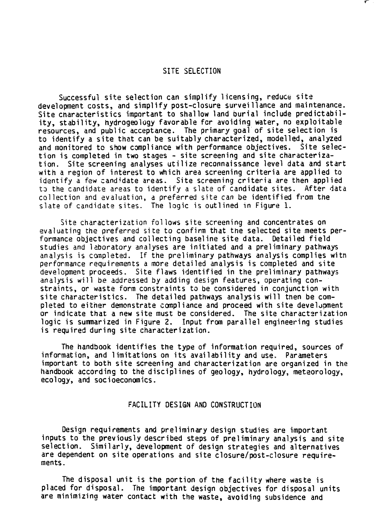# SITE SELECTION

Successful site selection can simplify licensing, reduce site development costs, and simplify post-closure surveillance and maintenance. Site characteristics important to shallow land burial include predictability, stability, hydrogeology favorable for avoiding water, no exploitable resources, and public acceptance. The primary goal of site selection is to identify a site that can be suitably characterized, modelled, analyzed and monitored to show compliance with performance objectives. Site selection is completed in two stages - site screening and site characterization. Site screening analyses utilize reconnaissance level data and start with a region of interest to which area screening criteria are applied to identify a few candidate areas. Site screening criteria are then applied to the candidate areas to identify a slate of candidate sites. After data collection and evaluation, a preferred site can be identified from the slate of candidate sites. The logic is outlined in Figure 1.

Site characterization follows site screening and concentrates on evaluating the preferred site to confirm that the selected site meets performance objectives and collecting baseline site data. Detailed field studies and laboratory analyses are initiated and a preliminary pathways analysis is completed. If the preliminary pathways analysis complies witn performance requirements a more detailed analysis is completed and site development proceeds. Site flaws identified in the preliminary pathways analysis will be addressed by adding design features, operating constraints , or waste form constraints to be considered in conjunction with site characteristics. The detailed pathways analysis will then be completed to either demonstrate compliance and proceed with site development or indicate that a new site must be considered. The site characterization logic is summarized in Figure 2. Input from parallel engineering studies is required during site characterization.

The handbook identifies the type of information required, sources of information, and limitations on its availability and use. Parameters important to both site screening and characterization are organized in the handbook according to the disciplines of geology, hydrology, meteorology, ecology, and socioeconomics.

### FACILITY DESIGN AND CONSTRUCTION

Design requirements and preliminary design studies are important inputs to the previously described steps of preliminary analysis and site selection. Similarly, development of design strategies and alternatives are dependent on site operations and site closure/post-closure requirements.

The disposal unit is the portion of the facility where waste is placed for disposal. The important design objectives for disposal units are minimizing water contact with the waste, avoiding subsidence and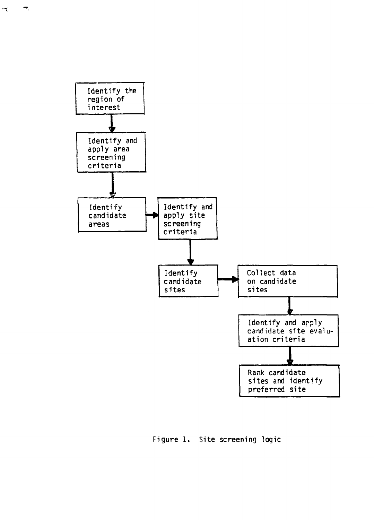

 $\blacksquare$ 

 $\mathbf{r}$ 

Figure 1. Site screening logic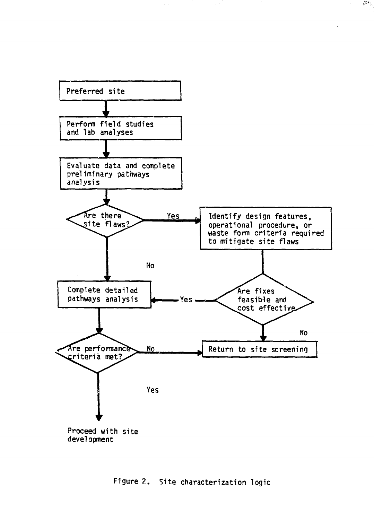

 $\sigma_{\rm c}$  ,  $\sigma_{\rm c}$ 

 $\tilde{c}^{n+1}$  .

# **Figure ?.. Site characterization logic**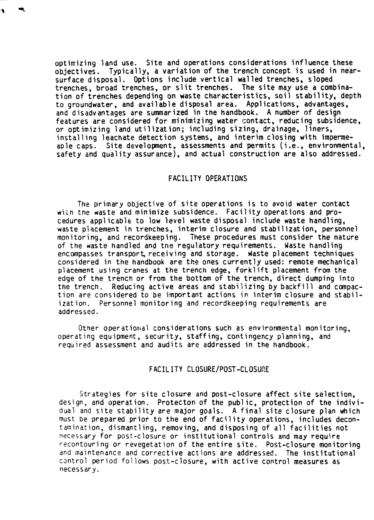optimizing land use. Site and operations considerations influence these objectives. Typically, a variation of the trench concept is used in nearsurface disposal. Options include vertical walled trenches, sloped trenches, broad trenches, or slit trenches. The site may use a combination of trenches depending on waste characteristics, soil stability, depth to groundwater, and available disposal area. Applications, advantages, and disadvantages are summarized in the handbook. A number of design features are considered for minimizing water contact, reducing subsidence, or optimizing land utilization; including sizing, drainage, liners, installing leachate detection systems, and interim closing with impermeable caps. Site development, assessments and permits (i.e., environmental, safety and quality assurance), and actual construction are also addressed.

### FACILITY OPERATIONS

The primary objective of site operations is to avoid water contact with the waste and minimize subsidence. Facility operations and procedures applicable to low level waste disposal include waste handling, waste placement in trenches, interim closure and stabilization, personnel monitoring, and recordkeeping. These procedures must consider the nature of the waste handled and tne regulatory requirements. Waste handling encompasses transport, receiving and storage. Waste placement techniques considered in the handbook are the ones currently used: remote mechanical placement using cranes at the trench edge, forklift placement from the edge of the trench or from the bottom of the trench, direct dumping into the trench. Reducing active areas and stabilizing by backfill and compaction are considered to be important actions in. interim closure and stabilization. Personnel monitoring and recordkeeping requirements are addressed.

Other operational considerations such as environmental monitoring, operating equipment, security, staffing, contingency planning, and required assessment and audits are addressed in the handbook.

## FACILITY CLOSURE/POST-CLOSURE

Strategies for site closure and post-closure affect site selection, design, and operation. Protecton of the public, protection of the individual and site stability are major goals. A final site closure plan which must be prepared prior to the end of facility operations, includes decontamination, dismantling, removing, and disposing of all facilities not necessary for post-closure or institutional controls and may require recontouring or revegetation of the entire site. Post-closure monitoring and maintenance and corrective actions are addressed. The institutional control period follows post-closure, with active control measures as necessary.